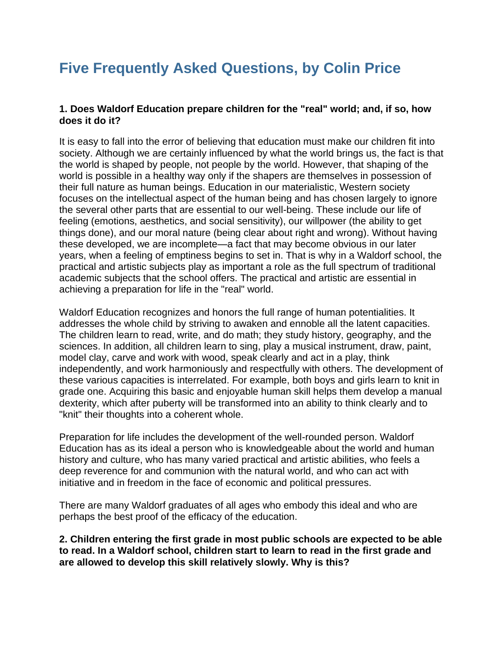# **Five Frequently Asked Questions, by Colin Price**

## **1. Does Waldorf Education prepare children for the "real" world; and, if so, how does it do it?**

It is easy to fall into the error of believing that education must make our children fit into society. Although we are certainly influenced by what the world brings us, the fact is that the world is shaped by people, not people by the world. However, that shaping of the world is possible in a healthy way only if the shapers are themselves in possession of their full nature as human beings. Education in our materialistic, Western society focuses on the intellectual aspect of the human being and has chosen largely to ignore the several other parts that are essential to our well-being. These include our life of feeling (emotions, aesthetics, and social sensitivity), our willpower (the ability to get things done), and our moral nature (being clear about right and wrong). Without having these developed, we are incomplete—a fact that may become obvious in our later years, when a feeling of emptiness begins to set in. That is why in a Waldorf school, the practical and artistic subjects play as important a role as the full spectrum of traditional academic subjects that the school offers. The practical and artistic are essential in achieving a preparation for life in the "real" world.

Waldorf Education recognizes and honors the full range of human potentialities. It addresses the whole child by striving to awaken and ennoble all the latent capacities. The children learn to read, write, and do math; they study history, geography, and the sciences. In addition, all children learn to sing, play a musical instrument, draw, paint, model clay, carve and work with wood, speak clearly and act in a play, think independently, and work harmoniously and respectfully with others. The development of these various capacities is interrelated. For example, both boys and girls learn to knit in grade one. Acquiring this basic and enjoyable human skill helps them develop a manual dexterity, which after puberty will be transformed into an ability to think clearly and to "knit" their thoughts into a coherent whole.

Preparation for life includes the development of the well-rounded person. Waldorf Education has as its ideal a person who is knowledgeable about the world and human history and culture, who has many varied practical and artistic abilities, who feels a deep reverence for and communion with the natural world, and who can act with initiative and in freedom in the face of economic and political pressures.

There are many Waldorf graduates of all ages who embody this ideal and who are perhaps the best proof of the efficacy of the education.

**2. Children entering the first grade in most public schools are expected to be able to read. In a Waldorf school, children start to learn to read in the first grade and are allowed to develop this skill relatively slowly. Why is this?**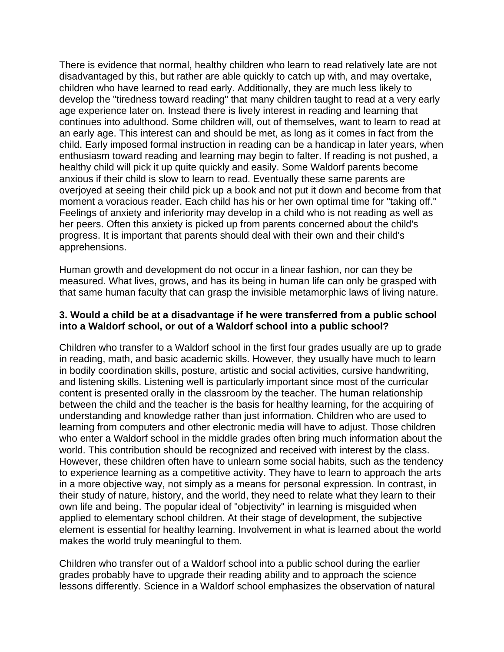There is evidence that normal, healthy children who learn to read relatively late are not disadvantaged by this, but rather are able quickly to catch up with, and may overtake, children who have learned to read early. Additionally, they are much less likely to develop the "tiredness toward reading" that many children taught to read at a very early age experience later on. Instead there is lively interest in reading and learning that continues into adulthood. Some children will, out of themselves, want to learn to read at an early age. This interest can and should be met, as long as it comes in fact from the child. Early imposed formal instruction in reading can be a handicap in later years, when enthusiasm toward reading and learning may begin to falter. If reading is not pushed, a healthy child will pick it up quite quickly and easily. Some Waldorf parents become anxious if their child is slow to learn to read. Eventually these same parents are overjoyed at seeing their child pick up a book and not put it down and become from that moment a voracious reader. Each child has his or her own optimal time for "taking off." Feelings of anxiety and inferiority may develop in a child who is not reading as well as her peers. Often this anxiety is picked up from parents concerned about the child's progress. It is important that parents should deal with their own and their child's apprehensions.

Human growth and development do not occur in a linear fashion, nor can they be measured. What lives, grows, and has its being in human life can only be grasped with that same human faculty that can grasp the invisible metamorphic laws of living nature.

### **3. Would a child be at a disadvantage if he were transferred from a public school into a Waldorf school, or out of a Waldorf school into a public school?**

Children who transfer to a Waldorf school in the first four grades usually are up to grade in reading, math, and basic academic skills. However, they usually have much to learn in bodily coordination skills, posture, artistic and social activities, cursive handwriting, and listening skills. Listening well is particularly important since most of the curricular content is presented orally in the classroom by the teacher. The human relationship between the child and the teacher is the basis for healthy learning, for the acquiring of understanding and knowledge rather than just information. Children who are used to learning from computers and other electronic media will have to adjust. Those children who enter a Waldorf school in the middle grades often bring much information about the world. This contribution should be recognized and received with interest by the class. However, these children often have to unlearn some social habits, such as the tendency to experience learning as a competitive activity. They have to learn to approach the arts in a more objective way, not simply as a means for personal expression. In contrast, in their study of nature, history, and the world, they need to relate what they learn to their own life and being. The popular ideal of "objectivity" in learning is misguided when applied to elementary school children. At their stage of development, the subjective element is essential for healthy learning. Involvement in what is learned about the world makes the world truly meaningful to them.

Children who transfer out of a Waldorf school into a public school during the earlier grades probably have to upgrade their reading ability and to approach the science lessons differently. Science in a Waldorf school emphasizes the observation of natural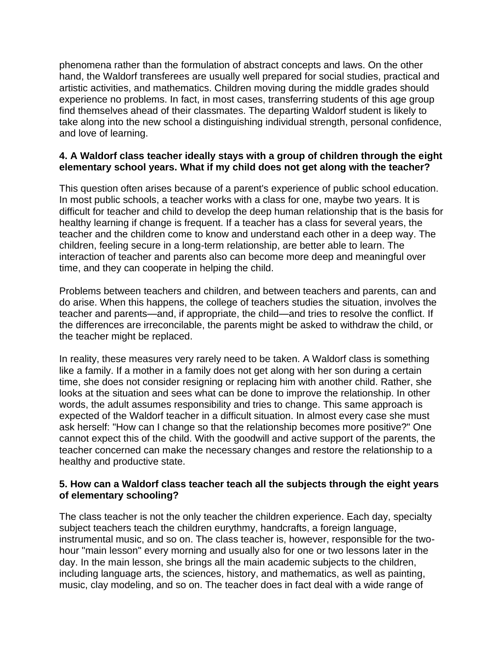phenomena rather than the formulation of abstract concepts and laws. On the other hand, the Waldorf transferees are usually well prepared for social studies, practical and artistic activities, and mathematics. Children moving during the middle grades should experience no problems. In fact, in most cases, transferring students of this age group find themselves ahead of their classmates. The departing Waldorf student is likely to take along into the new school a distinguishing individual strength, personal confidence, and love of learning.

## **4. A Waldorf class teacher ideally stays with a group of children through the eight elementary school years. What if my child does not get along with the teacher?**

This question often arises because of a parent's experience of public school education. In most public schools, a teacher works with a class for one, maybe two years. It is difficult for teacher and child to develop the deep human relationship that is the basis for healthy learning if change is frequent. If a teacher has a class for several years, the teacher and the children come to know and understand each other in a deep way. The children, feeling secure in a long-term relationship, are better able to learn. The interaction of teacher and parents also can become more deep and meaningful over time, and they can cooperate in helping the child.

Problems between teachers and children, and between teachers and parents, can and do arise. When this happens, the college of teachers studies the situation, involves the teacher and parents—and, if appropriate, the child—and tries to resolve the conflict. If the differences are irreconcilable, the parents might be asked to withdraw the child, or the teacher might be replaced.

In reality, these measures very rarely need to be taken. A Waldorf class is something like a family. If a mother in a family does not get along with her son during a certain time, she does not consider resigning or replacing him with another child. Rather, she looks at the situation and sees what can be done to improve the relationship. In other words, the adult assumes responsibility and tries to change. This same approach is expected of the Waldorf teacher in a difficult situation. In almost every case she must ask herself: "How can I change so that the relationship becomes more positive?" One cannot expect this of the child. With the goodwill and active support of the parents, the teacher concerned can make the necessary changes and restore the relationship to a healthy and productive state.

### **5. How can a Waldorf class teacher teach all the subjects through the eight years of elementary schooling?**

The class teacher is not the only teacher the children experience. Each day, specialty subject teachers teach the children eurythmy, handcrafts, a foreign language, instrumental music, and so on. The class teacher is, however, responsible for the twohour "main lesson" every morning and usually also for one or two lessons later in the day. In the main lesson, she brings all the main academic subjects to the children, including language arts, the sciences, history, and mathematics, as well as painting, music, clay modeling, and so on. The teacher does in fact deal with a wide range of